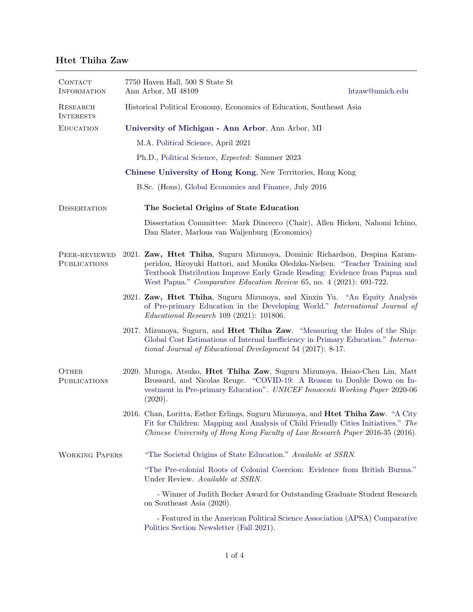## Htet Thiha Zaw

| CONTACT<br><b>INFORMATION</b> |                                                             | 7750 Haven Hall, 500 S State St<br>Ann Arbor, MI 48109<br>htzaw@umich.edu                                                                                                                                                                                                                                        |  |  |  |  |
|-------------------------------|-------------------------------------------------------------|------------------------------------------------------------------------------------------------------------------------------------------------------------------------------------------------------------------------------------------------------------------------------------------------------------------|--|--|--|--|
| RESEARCH<br><b>INTERESTS</b>  |                                                             | Historical Political Economy, Economics of Education, Southeast Asia                                                                                                                                                                                                                                             |  |  |  |  |
| <b>EDUCATION</b>              | University of Michigan - Ann Arbor, Ann Arbor, MI           |                                                                                                                                                                                                                                                                                                                  |  |  |  |  |
|                               |                                                             | M.A. Political Science, April 2021                                                                                                                                                                                                                                                                               |  |  |  |  |
|                               |                                                             | Ph.D., Political Science, <i>Expected:</i> Summer 2023                                                                                                                                                                                                                                                           |  |  |  |  |
|                               | Chinese University of Hong Kong, New Territories, Hong Kong |                                                                                                                                                                                                                                                                                                                  |  |  |  |  |
|                               | B.Sc. (Hons), Global Economics and Finance, July 2016       |                                                                                                                                                                                                                                                                                                                  |  |  |  |  |
| <b>DISSERTATION</b>           |                                                             | The Societal Origins of State Education                                                                                                                                                                                                                                                                          |  |  |  |  |
|                               |                                                             | Dissertation Committee: Mark Dincecco (Chair), Allen Hicken, Nahomi Ichino,<br>Dan Slater, Marlous van Waijenburg (Economics)                                                                                                                                                                                    |  |  |  |  |
| PEER-REVIEWED<br>PUBLICATIONS |                                                             | 2021. Zaw, Htet Thiha, Suguru Mizunoya, Dominic Richardson, Despina Karam-<br>peridou, Hiroyuki Hattori, and Monika Oledzka-Nielsen. "Teacher Training and<br>Textbook Distribution Improve Early Grade Reading: Evidence from Papua and<br>West Papua." Comparative Education Review 65, no. 4 (2021): 691-722. |  |  |  |  |
|                               |                                                             | 2021. Zaw, Htet Thiha, Suguru Mizunoya, and Xinxin Yu. "An Equity Analysis<br>of Pre-primary Education in the Developing World." International Journal of<br>$Educational Research$ 109 (2021): 101806.                                                                                                          |  |  |  |  |
|                               |                                                             | 2017. Mizunoya, Suguru, and Hitet Thiha Zaw. "Measuring the Holes of the Ship:<br>Global Cost Estimations of Internal Inefficiency in Primary Education." Interna-<br>tional Journal of Educational Development 54 (2017): 8-17.                                                                                 |  |  |  |  |
| OTHER<br>PUBLICATIONS         |                                                             | 2020. Muroga, Atsuko, Htet Thiha Zaw, Suguru Mizunoya, Hsiao-Chen Lin, Matt<br>Brossard, and Nicolas Reuge. "COVID-19: A Reason to Double Down on In-<br>vestment in Pre-primary Education". UNICEF Innocenti Working Paper 2020-06<br>(2020).                                                                   |  |  |  |  |
|                               |                                                             | 2016. Chan, Loritta, Esther Erlings, Suguru Mizunoya, and Htet Thiha Zaw. "A City<br>Fit for Children: Mapping and Analysis of Child Friendly Cities Initiatives." The<br>Chinese University of Hong Kong Faculty of Law Research Paper 2016-35 (2016).                                                          |  |  |  |  |
| <b>WORKING PAPERS</b>         |                                                             | "The Societal Origins of State Education." Available at SSRN.                                                                                                                                                                                                                                                    |  |  |  |  |
|                               |                                                             | "The Pre-colonial Roots of Colonial Coercion: Evidence from British Burma."<br>Under Review. Available at SSRN.                                                                                                                                                                                                  |  |  |  |  |
|                               |                                                             | - Winner of Judith Becker Award for Outstanding Graduate Student Research<br>on Southeast Asia (2020).                                                                                                                                                                                                           |  |  |  |  |
|                               |                                                             | - Featured in the American Political Science Association (APSA) Comparative<br>Politics Section Newsletter (Fall 2021).                                                                                                                                                                                          |  |  |  |  |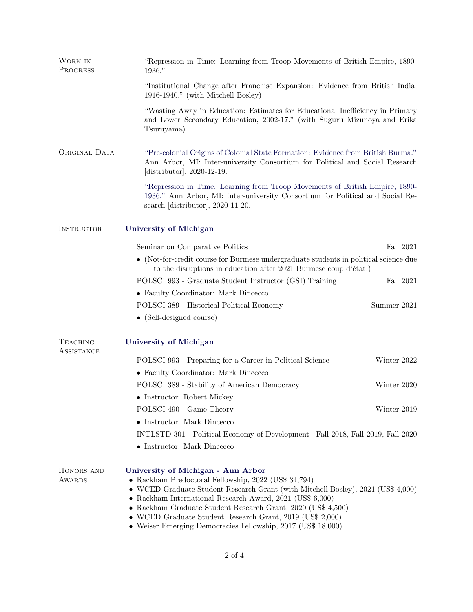| WORK IN<br>PROGRESS           | "Repression in Time: Learning from Troop Movements of British Empire, 1890-<br>1936."                                                                                                                                                                                                                                                                                                                                                        |             |  |  |  |  |
|-------------------------------|----------------------------------------------------------------------------------------------------------------------------------------------------------------------------------------------------------------------------------------------------------------------------------------------------------------------------------------------------------------------------------------------------------------------------------------------|-------------|--|--|--|--|
|                               | "Institutional Change after Franchise Expansion: Evidence from British India,<br>1916-1940." (with Mitchell Bosley)                                                                                                                                                                                                                                                                                                                          |             |  |  |  |  |
|                               | "Wasting Away in Education: Estimates for Educational Inefficiency in Primary<br>and Lower Secondary Education, 2002-17." (with Suguru Mizunoya and Erika<br>Tsuruyama)                                                                                                                                                                                                                                                                      |             |  |  |  |  |
| ORIGINAL DATA                 | "Pre-colonial Origins of Colonial State Formation: Evidence from British Burma."<br>Ann Arbor, MI: Inter-university Consortium for Political and Social Research<br>[distributor], $2020-12-19$ .                                                                                                                                                                                                                                            |             |  |  |  |  |
|                               | "Repression in Time: Learning from Troop Movements of British Empire, 1890-<br>1936." Ann Arbor, MI: Inter-university Consortium for Political and Social Re-<br>search [distributor], 2020-11-20.                                                                                                                                                                                                                                           |             |  |  |  |  |
| INSTRUCTOR                    | <b>University of Michigan</b>                                                                                                                                                                                                                                                                                                                                                                                                                |             |  |  |  |  |
|                               | Seminar on Comparative Politics                                                                                                                                                                                                                                                                                                                                                                                                              | Fall 2021   |  |  |  |  |
|                               | $\bullet\,$ (Not-for-credit course for Burmese undergraduate students in political science due<br>to the disruptions in education after 2021 Burmese coup d'état.)                                                                                                                                                                                                                                                                           |             |  |  |  |  |
|                               | POLSCI 993 - Graduate Student Instructor (GSI) Training                                                                                                                                                                                                                                                                                                                                                                                      | Fall 2021   |  |  |  |  |
|                               | • Faculty Coordinator: Mark Dincecco                                                                                                                                                                                                                                                                                                                                                                                                         |             |  |  |  |  |
|                               | POLSCI 389 - Historical Political Economy                                                                                                                                                                                                                                                                                                                                                                                                    | Summer 2021 |  |  |  |  |
|                               | • (Self-designed course)                                                                                                                                                                                                                                                                                                                                                                                                                     |             |  |  |  |  |
| <b>TEACHING</b><br>ASSISTANCE | <b>University of Michigan</b>                                                                                                                                                                                                                                                                                                                                                                                                                |             |  |  |  |  |
|                               | POLSCI 993 - Preparing for a Career in Political Science                                                                                                                                                                                                                                                                                                                                                                                     | Winter 2022 |  |  |  |  |
|                               | • Faculty Coordinator: Mark Dincecco                                                                                                                                                                                                                                                                                                                                                                                                         |             |  |  |  |  |
|                               | POLSCI 389 - Stability of American Democracy                                                                                                                                                                                                                                                                                                                                                                                                 | Winter 2020 |  |  |  |  |
|                               | • Instructor: Robert Mickey                                                                                                                                                                                                                                                                                                                                                                                                                  |             |  |  |  |  |
|                               | POLSCI 490 - Game Theory                                                                                                                                                                                                                                                                                                                                                                                                                     | Winter 2019 |  |  |  |  |
|                               | • Instructor: Mark Dincecco                                                                                                                                                                                                                                                                                                                                                                                                                  |             |  |  |  |  |
|                               | INTLSTD 301 - Political Economy of Development Fall 2018, Fall 2019, Fall 2020                                                                                                                                                                                                                                                                                                                                                               |             |  |  |  |  |
|                               | • Instructor: Mark Dincecco                                                                                                                                                                                                                                                                                                                                                                                                                  |             |  |  |  |  |
| HONORS AND<br><b>AWARDS</b>   | University of Michigan - Ann Arbor<br>• Rackham Predoctoral Fellowship, 2022 (US\$ 34,794)<br>• WCED Graduate Student Research Grant (with Mitchell Bosley), 2021 (US\$ 4,000)<br>• Rackham International Research Award, $2021$ (US\$ 6,000)<br>• Rackham Graduate Student Research Grant, 2020 (US\$ 4,500)<br>• WCED Graduate Student Research Grant, $2019$ (US\$ 2,000)<br>• Weiser Emerging Democracies Fellowship, 2017 (US\$ 18,000) |             |  |  |  |  |
|                               |                                                                                                                                                                                                                                                                                                                                                                                                                                              |             |  |  |  |  |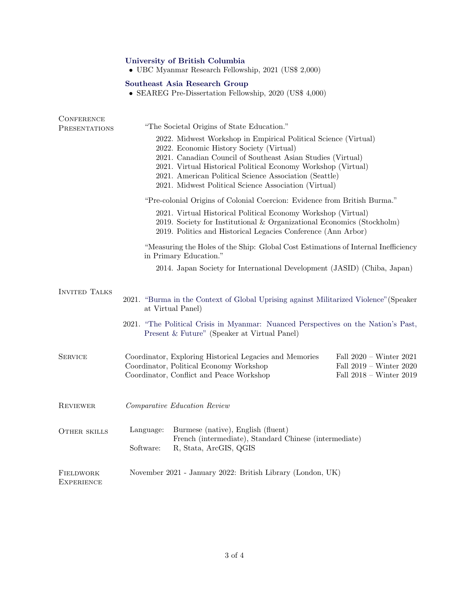## [University of British Columbia](https://www.ubc.ca/)

• UBC Myanmar Research Fellowship, 2021 (US\$ 2,000)

## [Southeast Asia Research Group](https://www.ubc.ca/)

• SEAREG Pre-Dissertation Fellowship, 2020 (US\$ 4,000)

| <b>CONFERENCE</b><br><b>PRESENTATIONS</b> | "The Societal Origins of State Education."<br>2022. Midwest Workshop in Empirical Political Science (Virtual)<br>2022. Economic History Society (Virtual)<br>2021. Canadian Council of Southeast Asian Studies (Virtual)<br>2021. Virtual Historical Political Economy Workshop (Virtual)<br>2021. American Political Science Association (Seattle)<br>2021. Midwest Political Science Association (Virtual)<br>"Pre-colonial Origins of Colonial Coercion: Evidence from British Burma."<br>2021. Virtual Historical Political Economy Workshop (Virtual)<br>2019. Society for Institutional & Organizational Economics (Stockholm) |                                                                                                                                                |                                                                                   |  |  |  |
|-------------------------------------------|--------------------------------------------------------------------------------------------------------------------------------------------------------------------------------------------------------------------------------------------------------------------------------------------------------------------------------------------------------------------------------------------------------------------------------------------------------------------------------------------------------------------------------------------------------------------------------------------------------------------------------------|------------------------------------------------------------------------------------------------------------------------------------------------|-----------------------------------------------------------------------------------|--|--|--|
|                                           |                                                                                                                                                                                                                                                                                                                                                                                                                                                                                                                                                                                                                                      |                                                                                                                                                |                                                                                   |  |  |  |
|                                           | 2019. Politics and Historical Legacies Conference (Ann Arbor)<br>"Measuring the Holes of the Ship: Global Cost Estimations of Internal Inefficiency<br>in Primary Education."                                                                                                                                                                                                                                                                                                                                                                                                                                                        |                                                                                                                                                |                                                                                   |  |  |  |
|                                           | 2014. Japan Society for International Development (JASID) (Chiba, Japan)                                                                                                                                                                                                                                                                                                                                                                                                                                                                                                                                                             |                                                                                                                                                |                                                                                   |  |  |  |
| <b>INVITED TALKS</b>                      | 2021. "Burma in the Context of Global Uprising against Militarized Violence" (Speaker<br>at Virtual Panel)                                                                                                                                                                                                                                                                                                                                                                                                                                                                                                                           |                                                                                                                                                |                                                                                   |  |  |  |
|                                           | 2021. "The Political Crisis in Myanmar: Nuanced Perspectives on the Nation's Past,<br>Present & Future" (Speaker at Virtual Panel)                                                                                                                                                                                                                                                                                                                                                                                                                                                                                                   |                                                                                                                                                |                                                                                   |  |  |  |
| SERVICE                                   |                                                                                                                                                                                                                                                                                                                                                                                                                                                                                                                                                                                                                                      | Coordinator, Exploring Historical Legacies and Memories<br>Coordinator, Political Economy Workshop<br>Coordinator, Conflict and Peace Workshop | Fall $2020 -$ Winter $2021$<br>Fall 2019 - Winter 2020<br>Fall 2018 - Winter 2019 |  |  |  |
| <b>REVIEWER</b>                           | Comparative Education Review                                                                                                                                                                                                                                                                                                                                                                                                                                                                                                                                                                                                         |                                                                                                                                                |                                                                                   |  |  |  |
| <b>OTHER SKILLS</b>                       | Language:<br>Software:                                                                                                                                                                                                                                                                                                                                                                                                                                                                                                                                                                                                               | Burmese (native), English (fluent)<br>French (intermediate), Standard Chinese (intermediate)<br>R, Stata, ArcGIS, QGIS                         |                                                                                   |  |  |  |
| FIELDWORK<br>EXPERIENCE                   | November 2021 - January 2022: British Library (London, UK)                                                                                                                                                                                                                                                                                                                                                                                                                                                                                                                                                                           |                                                                                                                                                |                                                                                   |  |  |  |